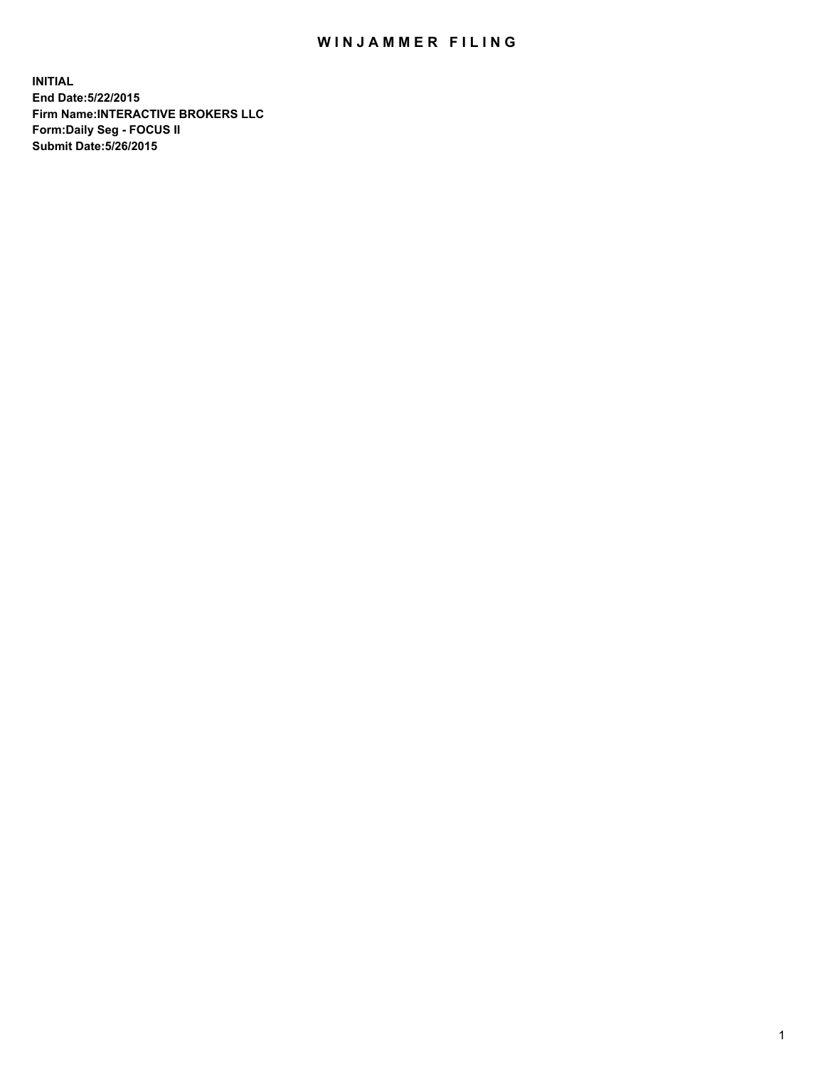## WIN JAMMER FILING

**INITIAL End Date:5/22/2015 Firm Name:INTERACTIVE BROKERS LLC Form:Daily Seg - FOCUS II Submit Date:5/26/2015**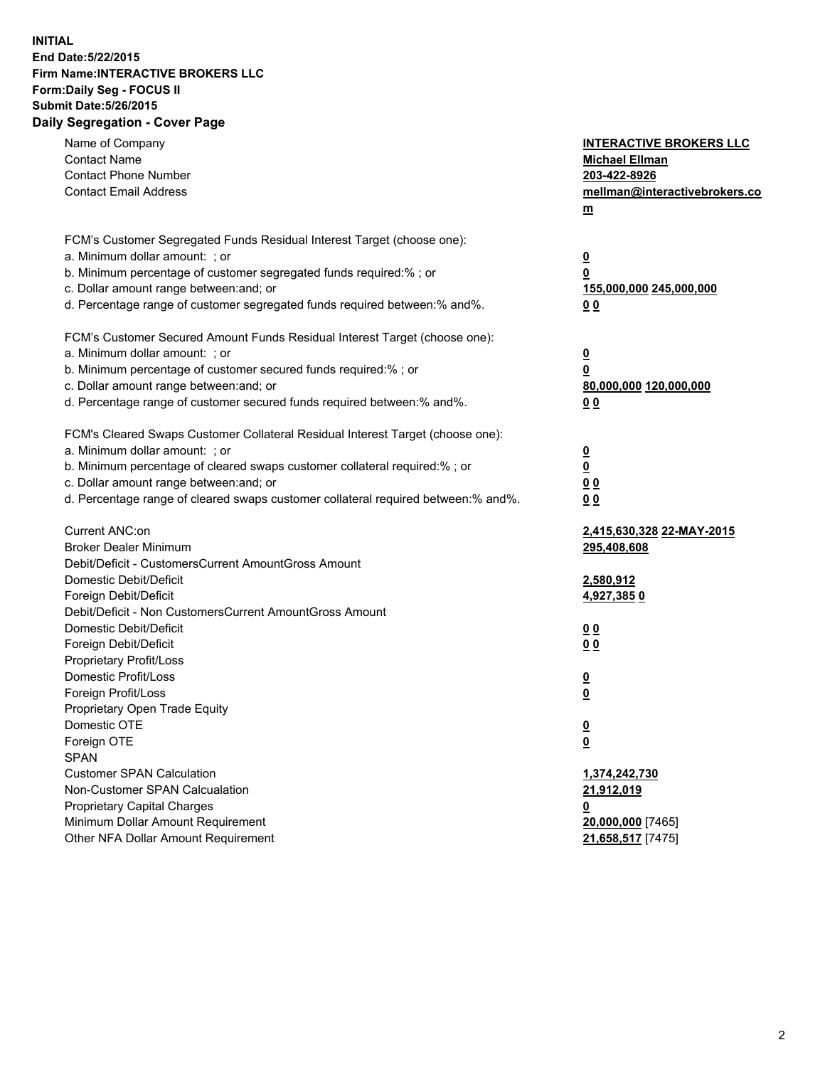## **INITIAL End Date:5/22/2015 Firm Name:INTERACTIVE BROKERS LLC Form:Daily Seg - FOCUS II Submit Date:5/26/2015 Daily Segregation - Cover Page**

| <b>Contact Phone Number</b><br>203-422-8926<br><b>Contact Email Address</b><br>mellman@interactivebrokers.co<br>$\underline{\mathbf{m}}$<br>FCM's Customer Segregated Funds Residual Interest Target (choose one):<br>a. Minimum dollar amount: ; or<br>$\overline{\mathbf{0}}$<br>b. Minimum percentage of customer segregated funds required:% ; or<br>0<br>c. Dollar amount range between: and; or<br>155,000,000 245,000,000<br>d. Percentage range of customer segregated funds required between:% and%.<br>00<br>FCM's Customer Secured Amount Funds Residual Interest Target (choose one):<br>a. Minimum dollar amount: ; or<br>$\overline{\mathbf{0}}$<br>b. Minimum percentage of customer secured funds required:% ; or<br>0<br>c. Dollar amount range between: and; or<br>80,000,000 120,000,000<br>d. Percentage range of customer secured funds required between:% and%.<br>00<br>FCM's Cleared Swaps Customer Collateral Residual Interest Target (choose one):<br>a. Minimum dollar amount: ; or<br>$\overline{\mathbf{0}}$<br>$\overline{\mathbf{0}}$<br>b. Minimum percentage of cleared swaps customer collateral required:% ; or<br>c. Dollar amount range between: and; or<br>0 <sub>0</sub><br>d. Percentage range of cleared swaps customer collateral required between:% and%.<br>0 <sub>0</sub><br>Current ANC:on<br>2,415,630,328 22-MAY-2015<br><b>Broker Dealer Minimum</b><br>295,408,608<br>Debit/Deficit - CustomersCurrent AmountGross Amount<br>Domestic Debit/Deficit<br>2,580,912<br>Foreign Debit/Deficit<br>4,927,3850<br>Debit/Deficit - Non CustomersCurrent AmountGross Amount<br>Domestic Debit/Deficit<br>0 <sub>0</sub><br>Foreign Debit/Deficit<br>0 <sub>0</sub><br>Proprietary Profit/Loss<br>Domestic Profit/Loss<br>$\overline{\mathbf{0}}$<br>Foreign Profit/Loss<br>$\underline{\mathbf{0}}$<br>Proprietary Open Trade Equity<br>Domestic OTE<br><u>0</u><br>Foreign OTE<br><u>0</u><br><b>SPAN</b><br><b>Customer SPAN Calculation</b><br>1,374,242,730<br>Non-Customer SPAN Calcualation<br>21,912,019<br>Proprietary Capital Charges<br><u>0</u><br>Minimum Dollar Amount Requirement<br>20,000,000 [7465]<br>Other NFA Dollar Amount Requirement<br>21,658,517 [7475] | Name of Company     | <b>INTERACTIVE BROKERS LLC</b> |
|----------------------------------------------------------------------------------------------------------------------------------------------------------------------------------------------------------------------------------------------------------------------------------------------------------------------------------------------------------------------------------------------------------------------------------------------------------------------------------------------------------------------------------------------------------------------------------------------------------------------------------------------------------------------------------------------------------------------------------------------------------------------------------------------------------------------------------------------------------------------------------------------------------------------------------------------------------------------------------------------------------------------------------------------------------------------------------------------------------------------------------------------------------------------------------------------------------------------------------------------------------------------------------------------------------------------------------------------------------------------------------------------------------------------------------------------------------------------------------------------------------------------------------------------------------------------------------------------------------------------------------------------------------------------------------------------------------------------------------------------------------------------------------------------------------------------------------------------------------------------------------------------------------------------------------------------------------------------------------------------------------------------------------------------------------------------------------------------------------------------------------------------------------------------------------------------------------------------------|---------------------|--------------------------------|
|                                                                                                                                                                                                                                                                                                                                                                                                                                                                                                                                                                                                                                                                                                                                                                                                                                                                                                                                                                                                                                                                                                                                                                                                                                                                                                                                                                                                                                                                                                                                                                                                                                                                                                                                                                                                                                                                                                                                                                                                                                                                                                                                                                                                                            | <b>Contact Name</b> | <b>Michael Ellman</b>          |
|                                                                                                                                                                                                                                                                                                                                                                                                                                                                                                                                                                                                                                                                                                                                                                                                                                                                                                                                                                                                                                                                                                                                                                                                                                                                                                                                                                                                                                                                                                                                                                                                                                                                                                                                                                                                                                                                                                                                                                                                                                                                                                                                                                                                                            |                     |                                |
|                                                                                                                                                                                                                                                                                                                                                                                                                                                                                                                                                                                                                                                                                                                                                                                                                                                                                                                                                                                                                                                                                                                                                                                                                                                                                                                                                                                                                                                                                                                                                                                                                                                                                                                                                                                                                                                                                                                                                                                                                                                                                                                                                                                                                            |                     |                                |
|                                                                                                                                                                                                                                                                                                                                                                                                                                                                                                                                                                                                                                                                                                                                                                                                                                                                                                                                                                                                                                                                                                                                                                                                                                                                                                                                                                                                                                                                                                                                                                                                                                                                                                                                                                                                                                                                                                                                                                                                                                                                                                                                                                                                                            |                     |                                |
|                                                                                                                                                                                                                                                                                                                                                                                                                                                                                                                                                                                                                                                                                                                                                                                                                                                                                                                                                                                                                                                                                                                                                                                                                                                                                                                                                                                                                                                                                                                                                                                                                                                                                                                                                                                                                                                                                                                                                                                                                                                                                                                                                                                                                            |                     |                                |
|                                                                                                                                                                                                                                                                                                                                                                                                                                                                                                                                                                                                                                                                                                                                                                                                                                                                                                                                                                                                                                                                                                                                                                                                                                                                                                                                                                                                                                                                                                                                                                                                                                                                                                                                                                                                                                                                                                                                                                                                                                                                                                                                                                                                                            |                     |                                |
|                                                                                                                                                                                                                                                                                                                                                                                                                                                                                                                                                                                                                                                                                                                                                                                                                                                                                                                                                                                                                                                                                                                                                                                                                                                                                                                                                                                                                                                                                                                                                                                                                                                                                                                                                                                                                                                                                                                                                                                                                                                                                                                                                                                                                            |                     |                                |
|                                                                                                                                                                                                                                                                                                                                                                                                                                                                                                                                                                                                                                                                                                                                                                                                                                                                                                                                                                                                                                                                                                                                                                                                                                                                                                                                                                                                                                                                                                                                                                                                                                                                                                                                                                                                                                                                                                                                                                                                                                                                                                                                                                                                                            |                     |                                |
|                                                                                                                                                                                                                                                                                                                                                                                                                                                                                                                                                                                                                                                                                                                                                                                                                                                                                                                                                                                                                                                                                                                                                                                                                                                                                                                                                                                                                                                                                                                                                                                                                                                                                                                                                                                                                                                                                                                                                                                                                                                                                                                                                                                                                            |                     |                                |
|                                                                                                                                                                                                                                                                                                                                                                                                                                                                                                                                                                                                                                                                                                                                                                                                                                                                                                                                                                                                                                                                                                                                                                                                                                                                                                                                                                                                                                                                                                                                                                                                                                                                                                                                                                                                                                                                                                                                                                                                                                                                                                                                                                                                                            |                     |                                |
|                                                                                                                                                                                                                                                                                                                                                                                                                                                                                                                                                                                                                                                                                                                                                                                                                                                                                                                                                                                                                                                                                                                                                                                                                                                                                                                                                                                                                                                                                                                                                                                                                                                                                                                                                                                                                                                                                                                                                                                                                                                                                                                                                                                                                            |                     |                                |
|                                                                                                                                                                                                                                                                                                                                                                                                                                                                                                                                                                                                                                                                                                                                                                                                                                                                                                                                                                                                                                                                                                                                                                                                                                                                                                                                                                                                                                                                                                                                                                                                                                                                                                                                                                                                                                                                                                                                                                                                                                                                                                                                                                                                                            |                     |                                |
|                                                                                                                                                                                                                                                                                                                                                                                                                                                                                                                                                                                                                                                                                                                                                                                                                                                                                                                                                                                                                                                                                                                                                                                                                                                                                                                                                                                                                                                                                                                                                                                                                                                                                                                                                                                                                                                                                                                                                                                                                                                                                                                                                                                                                            |                     |                                |
|                                                                                                                                                                                                                                                                                                                                                                                                                                                                                                                                                                                                                                                                                                                                                                                                                                                                                                                                                                                                                                                                                                                                                                                                                                                                                                                                                                                                                                                                                                                                                                                                                                                                                                                                                                                                                                                                                                                                                                                                                                                                                                                                                                                                                            |                     |                                |
|                                                                                                                                                                                                                                                                                                                                                                                                                                                                                                                                                                                                                                                                                                                                                                                                                                                                                                                                                                                                                                                                                                                                                                                                                                                                                                                                                                                                                                                                                                                                                                                                                                                                                                                                                                                                                                                                                                                                                                                                                                                                                                                                                                                                                            |                     |                                |
|                                                                                                                                                                                                                                                                                                                                                                                                                                                                                                                                                                                                                                                                                                                                                                                                                                                                                                                                                                                                                                                                                                                                                                                                                                                                                                                                                                                                                                                                                                                                                                                                                                                                                                                                                                                                                                                                                                                                                                                                                                                                                                                                                                                                                            |                     |                                |
|                                                                                                                                                                                                                                                                                                                                                                                                                                                                                                                                                                                                                                                                                                                                                                                                                                                                                                                                                                                                                                                                                                                                                                                                                                                                                                                                                                                                                                                                                                                                                                                                                                                                                                                                                                                                                                                                                                                                                                                                                                                                                                                                                                                                                            |                     |                                |
|                                                                                                                                                                                                                                                                                                                                                                                                                                                                                                                                                                                                                                                                                                                                                                                                                                                                                                                                                                                                                                                                                                                                                                                                                                                                                                                                                                                                                                                                                                                                                                                                                                                                                                                                                                                                                                                                                                                                                                                                                                                                                                                                                                                                                            |                     |                                |
|                                                                                                                                                                                                                                                                                                                                                                                                                                                                                                                                                                                                                                                                                                                                                                                                                                                                                                                                                                                                                                                                                                                                                                                                                                                                                                                                                                                                                                                                                                                                                                                                                                                                                                                                                                                                                                                                                                                                                                                                                                                                                                                                                                                                                            |                     |                                |
|                                                                                                                                                                                                                                                                                                                                                                                                                                                                                                                                                                                                                                                                                                                                                                                                                                                                                                                                                                                                                                                                                                                                                                                                                                                                                                                                                                                                                                                                                                                                                                                                                                                                                                                                                                                                                                                                                                                                                                                                                                                                                                                                                                                                                            |                     |                                |
|                                                                                                                                                                                                                                                                                                                                                                                                                                                                                                                                                                                                                                                                                                                                                                                                                                                                                                                                                                                                                                                                                                                                                                                                                                                                                                                                                                                                                                                                                                                                                                                                                                                                                                                                                                                                                                                                                                                                                                                                                                                                                                                                                                                                                            |                     |                                |
|                                                                                                                                                                                                                                                                                                                                                                                                                                                                                                                                                                                                                                                                                                                                                                                                                                                                                                                                                                                                                                                                                                                                                                                                                                                                                                                                                                                                                                                                                                                                                                                                                                                                                                                                                                                                                                                                                                                                                                                                                                                                                                                                                                                                                            |                     |                                |
|                                                                                                                                                                                                                                                                                                                                                                                                                                                                                                                                                                                                                                                                                                                                                                                                                                                                                                                                                                                                                                                                                                                                                                                                                                                                                                                                                                                                                                                                                                                                                                                                                                                                                                                                                                                                                                                                                                                                                                                                                                                                                                                                                                                                                            |                     |                                |
|                                                                                                                                                                                                                                                                                                                                                                                                                                                                                                                                                                                                                                                                                                                                                                                                                                                                                                                                                                                                                                                                                                                                                                                                                                                                                                                                                                                                                                                                                                                                                                                                                                                                                                                                                                                                                                                                                                                                                                                                                                                                                                                                                                                                                            |                     |                                |
|                                                                                                                                                                                                                                                                                                                                                                                                                                                                                                                                                                                                                                                                                                                                                                                                                                                                                                                                                                                                                                                                                                                                                                                                                                                                                                                                                                                                                                                                                                                                                                                                                                                                                                                                                                                                                                                                                                                                                                                                                                                                                                                                                                                                                            |                     |                                |
|                                                                                                                                                                                                                                                                                                                                                                                                                                                                                                                                                                                                                                                                                                                                                                                                                                                                                                                                                                                                                                                                                                                                                                                                                                                                                                                                                                                                                                                                                                                                                                                                                                                                                                                                                                                                                                                                                                                                                                                                                                                                                                                                                                                                                            |                     |                                |
|                                                                                                                                                                                                                                                                                                                                                                                                                                                                                                                                                                                                                                                                                                                                                                                                                                                                                                                                                                                                                                                                                                                                                                                                                                                                                                                                                                                                                                                                                                                                                                                                                                                                                                                                                                                                                                                                                                                                                                                                                                                                                                                                                                                                                            |                     |                                |
|                                                                                                                                                                                                                                                                                                                                                                                                                                                                                                                                                                                                                                                                                                                                                                                                                                                                                                                                                                                                                                                                                                                                                                                                                                                                                                                                                                                                                                                                                                                                                                                                                                                                                                                                                                                                                                                                                                                                                                                                                                                                                                                                                                                                                            |                     |                                |
|                                                                                                                                                                                                                                                                                                                                                                                                                                                                                                                                                                                                                                                                                                                                                                                                                                                                                                                                                                                                                                                                                                                                                                                                                                                                                                                                                                                                                                                                                                                                                                                                                                                                                                                                                                                                                                                                                                                                                                                                                                                                                                                                                                                                                            |                     |                                |
|                                                                                                                                                                                                                                                                                                                                                                                                                                                                                                                                                                                                                                                                                                                                                                                                                                                                                                                                                                                                                                                                                                                                                                                                                                                                                                                                                                                                                                                                                                                                                                                                                                                                                                                                                                                                                                                                                                                                                                                                                                                                                                                                                                                                                            |                     |                                |
|                                                                                                                                                                                                                                                                                                                                                                                                                                                                                                                                                                                                                                                                                                                                                                                                                                                                                                                                                                                                                                                                                                                                                                                                                                                                                                                                                                                                                                                                                                                                                                                                                                                                                                                                                                                                                                                                                                                                                                                                                                                                                                                                                                                                                            |                     |                                |
|                                                                                                                                                                                                                                                                                                                                                                                                                                                                                                                                                                                                                                                                                                                                                                                                                                                                                                                                                                                                                                                                                                                                                                                                                                                                                                                                                                                                                                                                                                                                                                                                                                                                                                                                                                                                                                                                                                                                                                                                                                                                                                                                                                                                                            |                     |                                |
|                                                                                                                                                                                                                                                                                                                                                                                                                                                                                                                                                                                                                                                                                                                                                                                                                                                                                                                                                                                                                                                                                                                                                                                                                                                                                                                                                                                                                                                                                                                                                                                                                                                                                                                                                                                                                                                                                                                                                                                                                                                                                                                                                                                                                            |                     |                                |
|                                                                                                                                                                                                                                                                                                                                                                                                                                                                                                                                                                                                                                                                                                                                                                                                                                                                                                                                                                                                                                                                                                                                                                                                                                                                                                                                                                                                                                                                                                                                                                                                                                                                                                                                                                                                                                                                                                                                                                                                                                                                                                                                                                                                                            |                     |                                |
|                                                                                                                                                                                                                                                                                                                                                                                                                                                                                                                                                                                                                                                                                                                                                                                                                                                                                                                                                                                                                                                                                                                                                                                                                                                                                                                                                                                                                                                                                                                                                                                                                                                                                                                                                                                                                                                                                                                                                                                                                                                                                                                                                                                                                            |                     |                                |
|                                                                                                                                                                                                                                                                                                                                                                                                                                                                                                                                                                                                                                                                                                                                                                                                                                                                                                                                                                                                                                                                                                                                                                                                                                                                                                                                                                                                                                                                                                                                                                                                                                                                                                                                                                                                                                                                                                                                                                                                                                                                                                                                                                                                                            |                     |                                |
|                                                                                                                                                                                                                                                                                                                                                                                                                                                                                                                                                                                                                                                                                                                                                                                                                                                                                                                                                                                                                                                                                                                                                                                                                                                                                                                                                                                                                                                                                                                                                                                                                                                                                                                                                                                                                                                                                                                                                                                                                                                                                                                                                                                                                            |                     |                                |
|                                                                                                                                                                                                                                                                                                                                                                                                                                                                                                                                                                                                                                                                                                                                                                                                                                                                                                                                                                                                                                                                                                                                                                                                                                                                                                                                                                                                                                                                                                                                                                                                                                                                                                                                                                                                                                                                                                                                                                                                                                                                                                                                                                                                                            |                     |                                |
|                                                                                                                                                                                                                                                                                                                                                                                                                                                                                                                                                                                                                                                                                                                                                                                                                                                                                                                                                                                                                                                                                                                                                                                                                                                                                                                                                                                                                                                                                                                                                                                                                                                                                                                                                                                                                                                                                                                                                                                                                                                                                                                                                                                                                            |                     |                                |
|                                                                                                                                                                                                                                                                                                                                                                                                                                                                                                                                                                                                                                                                                                                                                                                                                                                                                                                                                                                                                                                                                                                                                                                                                                                                                                                                                                                                                                                                                                                                                                                                                                                                                                                                                                                                                                                                                                                                                                                                                                                                                                                                                                                                                            |                     |                                |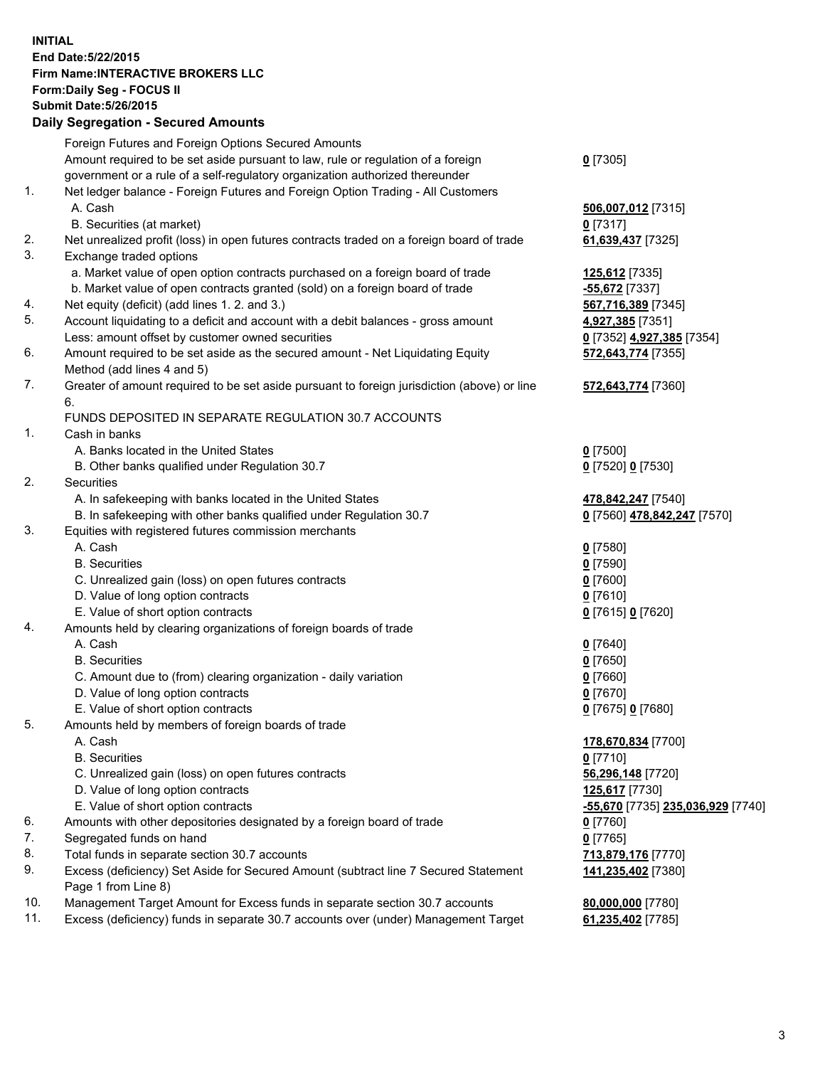## **INITIAL End Date:5/22/2015 Firm Name:INTERACTIVE BROKERS LLC Form:Daily Seg - FOCUS II Submit Date:5/26/2015 Daily Segregation - Secured Amounts**

|     | Foreign Futures and Foreign Options Secured Amounts                                                        |                                  |
|-----|------------------------------------------------------------------------------------------------------------|----------------------------------|
|     | Amount required to be set aside pursuant to law, rule or regulation of a foreign                           | $0$ [7305]                       |
|     | government or a rule of a self-regulatory organization authorized thereunder                               |                                  |
| 1.  | Net ledger balance - Foreign Futures and Foreign Option Trading - All Customers                            |                                  |
|     | A. Cash                                                                                                    | 506,007,012 [7315]               |
|     | B. Securities (at market)                                                                                  | $0$ [7317]                       |
| 2.  | Net unrealized profit (loss) in open futures contracts traded on a foreign board of trade                  | 61,639,437 [7325]                |
| 3.  | Exchange traded options                                                                                    |                                  |
|     | a. Market value of open option contracts purchased on a foreign board of trade                             | 125,612 [7335]                   |
|     | b. Market value of open contracts granted (sold) on a foreign board of trade                               | -55,672 [7337]                   |
| 4.  | Net equity (deficit) (add lines 1.2. and 3.)                                                               | 567,716,389 [7345]               |
| 5.  | Account liquidating to a deficit and account with a debit balances - gross amount                          | 4,927,385 [7351]                 |
|     | Less: amount offset by customer owned securities                                                           | 0 [7352] 4,927,385 [7354]        |
| 6.  | Amount required to be set aside as the secured amount - Net Liquidating Equity                             | 572,643,774 [7355]               |
|     | Method (add lines 4 and 5)                                                                                 |                                  |
| 7.  | Greater of amount required to be set aside pursuant to foreign jurisdiction (above) or line                | 572,643,774 [7360]               |
|     | 6.                                                                                                         |                                  |
|     | FUNDS DEPOSITED IN SEPARATE REGULATION 30.7 ACCOUNTS                                                       |                                  |
| 1.  | Cash in banks                                                                                              |                                  |
|     | A. Banks located in the United States                                                                      | $0$ [7500]                       |
|     | B. Other banks qualified under Regulation 30.7                                                             | 0 [7520] 0 [7530]                |
| 2.  | Securities                                                                                                 |                                  |
|     | A. In safekeeping with banks located in the United States                                                  | 478,842,247 [7540]               |
|     | B. In safekeeping with other banks qualified under Regulation 30.7                                         | 0 [7560] 478,842,247 [7570]      |
| 3.  | Equities with registered futures commission merchants                                                      |                                  |
|     | A. Cash                                                                                                    | $0$ [7580]                       |
|     | <b>B.</b> Securities                                                                                       | $0$ [7590]                       |
|     | C. Unrealized gain (loss) on open futures contracts                                                        | $0$ [7600]                       |
|     | D. Value of long option contracts                                                                          | $0$ [7610]                       |
|     | E. Value of short option contracts                                                                         | 0 [7615] 0 [7620]                |
| 4.  | Amounts held by clearing organizations of foreign boards of trade                                          |                                  |
|     | A. Cash                                                                                                    | $0$ [7640]                       |
|     | <b>B.</b> Securities                                                                                       | $0$ [7650]                       |
|     | C. Amount due to (from) clearing organization - daily variation                                            | $0$ [7660]                       |
|     | D. Value of long option contracts                                                                          | $0$ [7670]                       |
|     | E. Value of short option contracts                                                                         | 0 [7675] 0 [7680]                |
| 5.  | Amounts held by members of foreign boards of trade                                                         |                                  |
|     | A. Cash                                                                                                    | 178,670,834 [7700]               |
|     | <b>B.</b> Securities                                                                                       | $0$ [7710]                       |
|     | C. Unrealized gain (loss) on open futures contracts                                                        | 56,296,148 [7720]                |
|     | D. Value of long option contracts                                                                          | 125,617 [7730]                   |
|     | E. Value of short option contracts                                                                         | 55,670 [7735] 235,036,929 [7740] |
| 6.  | Amounts with other depositories designated by a foreign board of trade                                     | $0$ [7760]                       |
| 7.  | Segregated funds on hand                                                                                   | $0$ [7765]                       |
| 8.  | Total funds in separate section 30.7 accounts                                                              | 713,879,176 [7770]               |
| 9.  | Excess (deficiency) Set Aside for Secured Amount (subtract line 7 Secured Statement<br>Page 1 from Line 8) | 141,235,402 [7380]               |
| 10. | Management Target Amount for Excess funds in separate section 30.7 accounts                                | 80,000,000 [7780]                |
| 11. | Excess (deficiency) funds in separate 30.7 accounts over (under) Management Target                         | 61,235,402 [7785]                |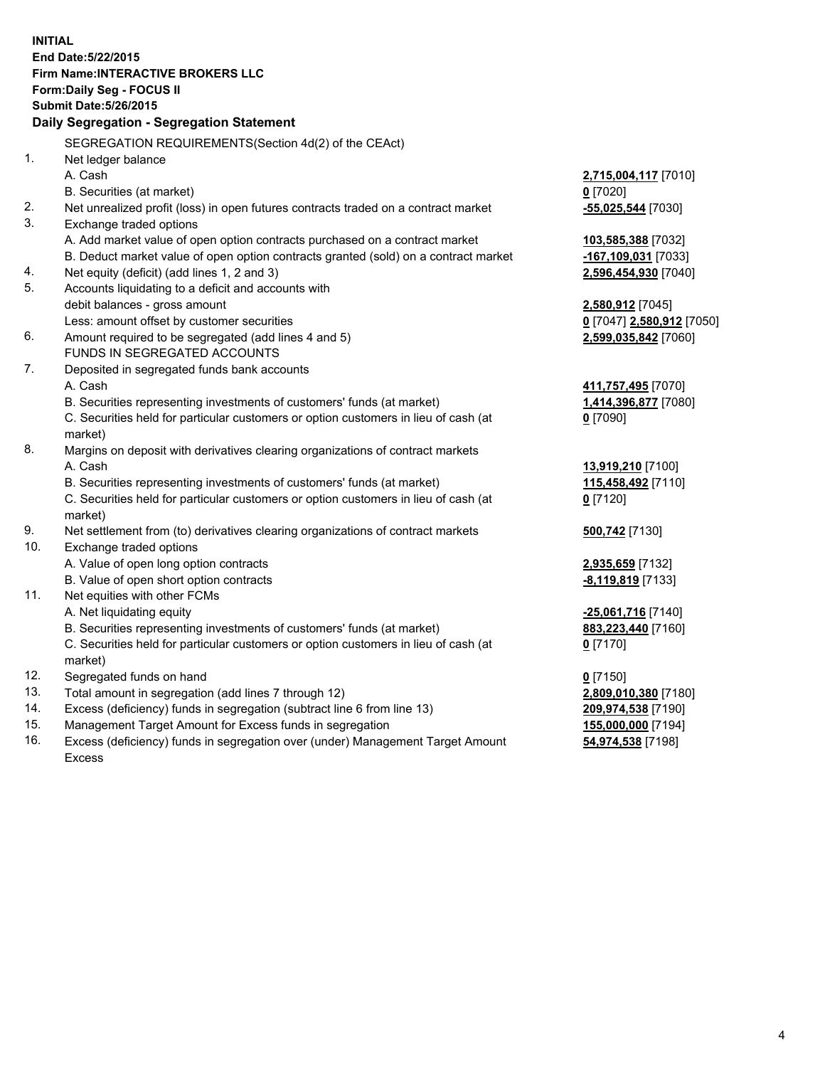**INITIAL End Date:5/22/2015 Firm Name:INTERACTIVE BROKERS LLC Form:Daily Seg - FOCUS II Submit Date:5/26/2015 Daily Segregation - Segregation Statement** SEGREGATION REQUIREMENTS(Section 4d(2) of the CEAct) 1. Net ledger balance A. Cash **2,715,004,117** [7010] B. Securities (at market) **0** [7020] 2. Net unrealized profit (loss) in open futures contracts traded on a contract market **-55,025,544** [7030] 3. Exchange traded options A. Add market value of open option contracts purchased on a contract market **103,585,388** [7032] B. Deduct market value of open option contracts granted (sold) on a contract market **-167,109,031** [7033] 4. Net equity (deficit) (add lines 1, 2 and 3) **2,596,454,930** [7040] 5. Accounts liquidating to a deficit and accounts with debit balances - gross amount **2,580,912** [7045] Less: amount offset by customer securities **0** [7047] **2,580,912** [7050] 6. Amount required to be segregated (add lines 4 and 5) **2,599,035,842** [7060] FUNDS IN SEGREGATED ACCOUNTS 7. Deposited in segregated funds bank accounts A. Cash **411,757,495** [7070] B. Securities representing investments of customers' funds (at market) **1,414,396,877** [7080] C. Securities held for particular customers or option customers in lieu of cash (at market) **0** [7090] 8. Margins on deposit with derivatives clearing organizations of contract markets A. Cash **13,919,210** [7100] B. Securities representing investments of customers' funds (at market) **115,458,492** [7110] C. Securities held for particular customers or option customers in lieu of cash (at market) **0** [7120] 9. Net settlement from (to) derivatives clearing organizations of contract markets **500,742** [7130] 10. Exchange traded options A. Value of open long option contracts **2,935,659** [7132] B. Value of open short option contracts **-8,119,819** [7133] 11. Net equities with other FCMs A. Net liquidating equity **-25,061,716** [7140] B. Securities representing investments of customers' funds (at market) **883,223,440** [7160] C. Securities held for particular customers or option customers in lieu of cash (at market) **0** [7170] 12. Segregated funds on hand **0** [7150] 13. Total amount in segregation (add lines 7 through 12) **2,809,010,380** [7180] 14. Excess (deficiency) funds in segregation (subtract line 6 from line 13) **209,974,538** [7190] 15. Management Target Amount for Excess funds in segregation **155,000,000** [7194]

16. Excess (deficiency) funds in segregation over (under) Management Target Amount Excess

**54,974,538** [7198]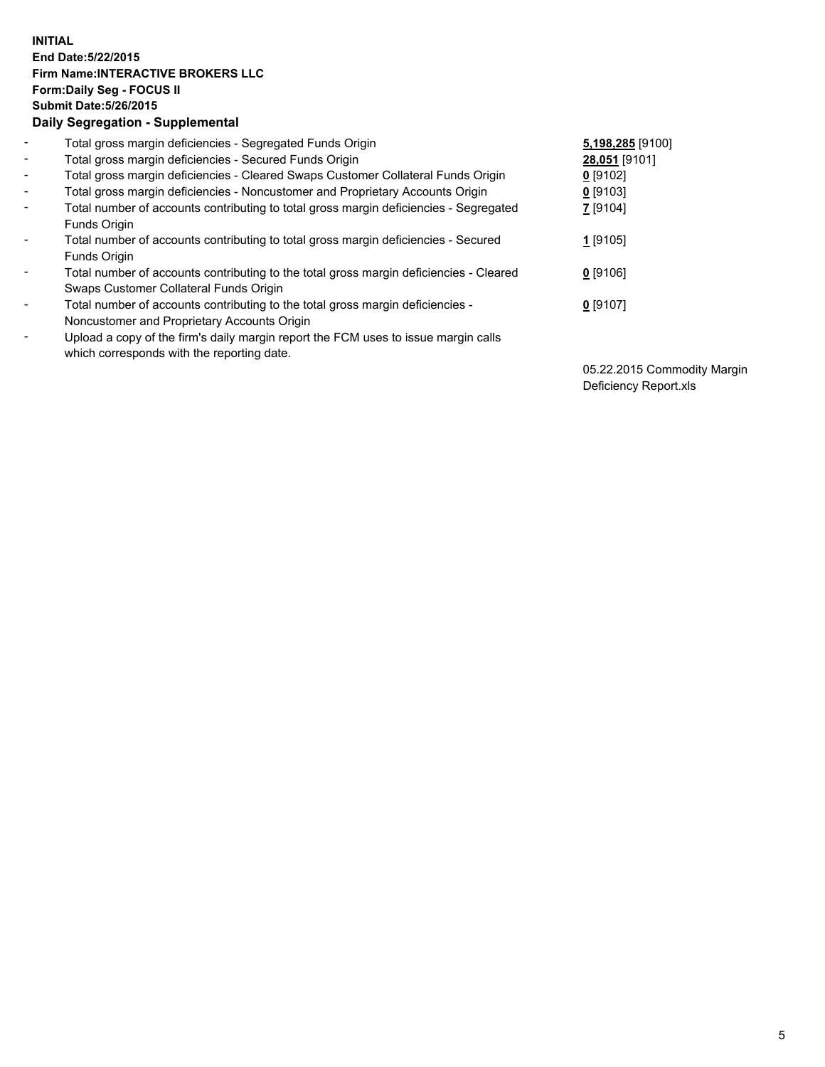## **INITIAL End Date:5/22/2015 Firm Name:INTERACTIVE BROKERS LLC Form:Daily Seg - FOCUS II Submit Date:5/26/2015 Daily Segregation - Supplemental**

| $\blacksquare$           | Total gross margin deficiencies - Segregated Funds Origin                                                                        | 5,198,285 [9100] |
|--------------------------|----------------------------------------------------------------------------------------------------------------------------------|------------------|
| $\sim$                   | Total gross margin deficiencies - Secured Funds Origin                                                                           | 28,051 [9101]    |
| $\blacksquare$           | Total gross margin deficiencies - Cleared Swaps Customer Collateral Funds Origin                                                 | $0$ [9102]       |
| $\blacksquare$           | Total gross margin deficiencies - Noncustomer and Proprietary Accounts Origin                                                    | $0$ [9103]       |
| $\blacksquare$           | Total number of accounts contributing to total gross margin deficiencies - Segregated<br>Funds Origin                            | 7 [9104]         |
| $\blacksquare$           | Total number of accounts contributing to total gross margin deficiencies - Secured<br>Funds Origin                               | 1 [9105]         |
| $\overline{\phantom{a}}$ | Total number of accounts contributing to the total gross margin deficiencies - Cleared<br>Swaps Customer Collateral Funds Origin | $0$ [9106]       |
| ۰                        | Total number of accounts contributing to the total gross margin deficiencies -<br>Noncustomer and Proprietary Accounts Origin    | $0$ [9107]       |
| $\blacksquare$           | Upload a copy of the firm's daily margin report the FCM uses to issue margin calls<br>which corresponds with the reporting date. |                  |

05.22.2015 Commodity Margin Deficiency Report.xls